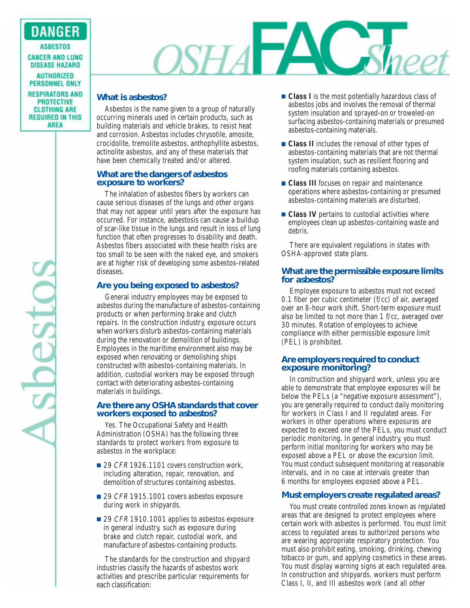### **DANGER**

**ASBESTOS CANCER AND LUNG DISEASE HAZARD AUTHORIZED PERSONNEL ONLY RESPIRATORS AND PROTECTIVE CLOTHING ARE REQUIRED IN THIS AREA** 

# Sopestos

## OSHA FAC Sheet

#### **What is asbestos?**

Asbestos is the name given to a group of naturally occurring minerals used in certain products, such as building materials and vehicle brakes, to resist heat and corrosion. Asbestos includes chrysotile, amosite, crocidolite, tremolite asbestos, anthophyllite asbestos, actinolite asbestos, and any of these materials that have been chemically treated and/or altered.

#### **What are the dangers of asbestos exposure to workers?**

The inhalation of asbestos fibers by workers can cause serious diseases of the lungs and other organs that may not appear until years after the exposure has occurred. For instance, asbestosis can cause a buildup of scar-like tissue in the lungs and result in loss of lung function that often progresses to disability and death. Asbestos fibers associated with these health risks are too small to be seen with the naked eye, and smokers are at higher risk of developing some asbestos-related diseases.

#### **Are you being exposed to asbestos?**

General industry employees may be exposed to asbestos during the manufacture of asbestos-containing products or when performing brake and clutch repairs. In the construction industry, exposure occurs when workers disturb asbestos-containing materials during the renovation or demolition of buildings. Employees in the maritime environment also may be exposed when renovating or demolishing ships constructed with asbestos-containing materials. In addition, custodial workers may be exposed through contact with deteriorating asbestos-containing materials in buildings.

#### **Are there any OSHA standards that cover workers exposed to asbestos?**

Yes. The Occupational Safety and Health Administration (OSHA) has the following three standards to protect workers from exposure to asbestos in the workplace:

- 29 CFR 1926.1101 covers construction work, including alteration, repair, renovation, and demolition of structures containing asbestos.
- 29 *CFR* 1915.1001 covers asbestos exposure during work in shipyards.
- 29 CFR 1910.1001 applies to asbestos exposure in general industry, such as exposure during brake and clutch repair, custodial work, and manufacture of asbestos-containing products.

The standards for the construction and shipyard industries classify the hazards of asbestos work activities and prescribe particular requirements for each classification:

- **Class I** is the most potentially hazardous class of asbestos jobs and involves the removal of thermal system insulation and sprayed-on or troweled-on surfacing asbestos-containing materials or presumed asbestos-containing materials.
- **Class II** includes the removal of other types of asbestos-containing materials that are not thermal system insulation, such as resilient flooring and roofing materials containing asbestos.
- **Class III** focuses on repair and maintenance operations where asbestos-containing or presumed asbestos-containing materials are disturbed.
- **Class IV** pertains to custodial activities where employees clean up asbestos-containing waste and debris.

There are equivalent regulations in states with OSHA-approved state plans.

#### **What are the permissible exposure limits for asbestos?**

Employee exposure to asbestos must not exceed 0.1 fiber per cubic centimeter (f/cc) of air, averaged over an 8-hour work shift. Short-term exposure must also be limited to not more than 1 f/cc, averaged over 30 minutes. Rotation of employees to achieve compliance with either permissible exposure limit (PEL) is prohibited.

#### **Are employers required to conduct exposure monitoring?**

In construction and shipyard work, unless you are able to demonstrate that employee exposures will be below the PELs (a "negative exposure assessment"), you are generally required to conduct daily monitoring for workers in Class I and II regulated areas. For workers in other operations where exposures are expected to exceed one of the PELs, you must conduct periodic monitoring. In general industry, you must perform initial monitoring for workers who may be exposed above a PEL or above the excursion limit. You must conduct subsequent monitoring at reasonable intervals, and in no case at intervals greater than 6 months for employees exposed above a PEL.

#### **Must employers create regulated areas?**

You must create controlled zones known as regulated areas that are designed to protect employees where certain work with asbestos is performed. You must limit access to regulated areas to authorized persons who are wearing appropriate respiratory protection. You must also prohibit eating, smoking, drinking, chewing tobacco or gum, and applying cosmetics in these areas. You must display warning signs at each regulated area. In construction and shipyards, workers must perform Class I, II, and III asbestos work (and all other